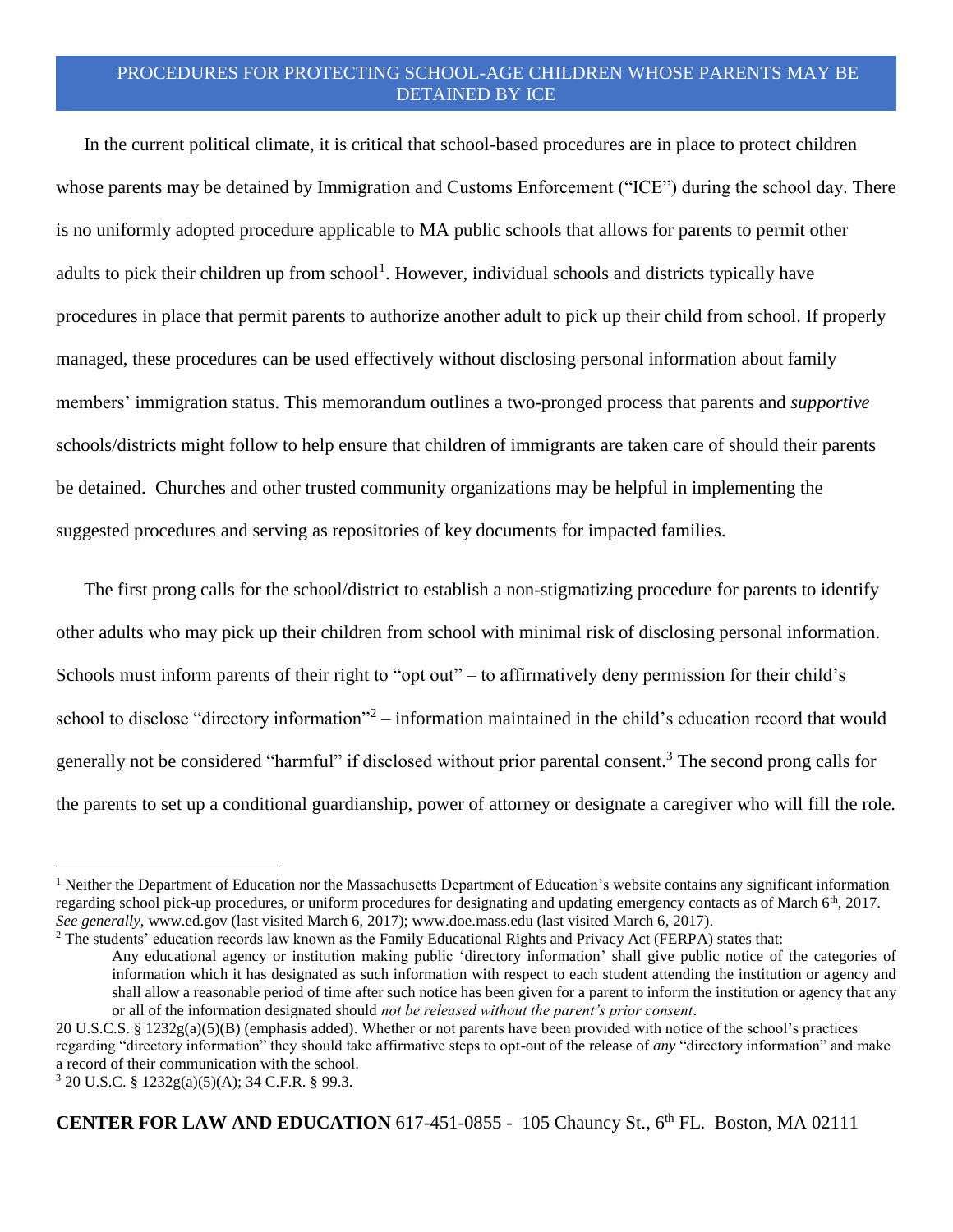## PROCEDURES FOR PROTECTING SCHOOL-AGE CHILDREN WHOSE PARENTS MAY BE DETAINED BY ICE

In the current political climate, it is critical that school-based procedures are in place to protect children whose parents may be detained by Immigration and Customs Enforcement ("ICE") during the school day. There is no uniformly adopted procedure applicable to MA public schools that allows for parents to permit other adults to pick their children up from school<sup>1</sup>. However, individual schools and districts typically have procedures in place that permit parents to authorize another adult to pick up their child from school. If properly managed, these procedures can be used effectively without disclosing personal information about family members' immigration status. This memorandum outlines a two-pronged process that parents and *supportive* schools/districts might follow to help ensure that children of immigrants are taken care of should their parents be detained. Churches and other trusted community organizations may be helpful in implementing the suggested procedures and serving as repositories of key documents for impacted families.

The first prong calls for the school/district to establish a non-stigmatizing procedure for parents to identify other adults who may pick up their children from school with minimal risk of disclosing personal information. Schools must inform parents of their right to "opt out" – to affirmatively deny permission for their child's school to disclose "directory information"<sup>2</sup> – information maintained in the child's education record that would generally not be considered "harmful" if disclosed without prior parental consent. <sup>3</sup> The second prong calls for the parents to set up a conditional guardianship, power of attorney or designate a caregiver who will fill the role.

 $\overline{a}$ 

**CENTER FOR LAW AND EDUCATION** 617-451-0855 - 105 Chauncy St., 6th FL. Boston, MA 02111

<sup>&</sup>lt;sup>1</sup> Neither the Department of Education nor the Massachusetts Department of Education's website contains any significant information regarding school pick-up procedures, or uniform procedures for designating and updating emergency contacts as of March  $6<sup>th</sup>$ , 2017. *See generally*, www.ed.gov (last visited March 6, 2017); www.doe.mass.edu (last visited March 6, 2017).

<sup>&</sup>lt;sup>2</sup> The students' education records law known as the Family Educational Rights and Privacy Act (FERPA) states that:

Any educational agency or institution making public 'directory information' shall give public notice of the categories of information which it has designated as such information with respect to each student attending the institution or agency and shall allow a reasonable period of time after such notice has been given for a parent to inform the institution or agency that any or all of the information designated should *not be released without the parent's prior consent*.

<sup>20</sup> U.S.C.S. § 1232g(a)(5)(B) (emphasis added). Whether or not parents have been provided with notice of the school's practices regarding "directory information" they should take affirmative steps to opt-out of the release of *any* "directory information" and make a record of their communication with the school.

<sup>3</sup> 20 U.S.C. § 1232g(a)(5)(A); 34 C.F.R. § 99.3.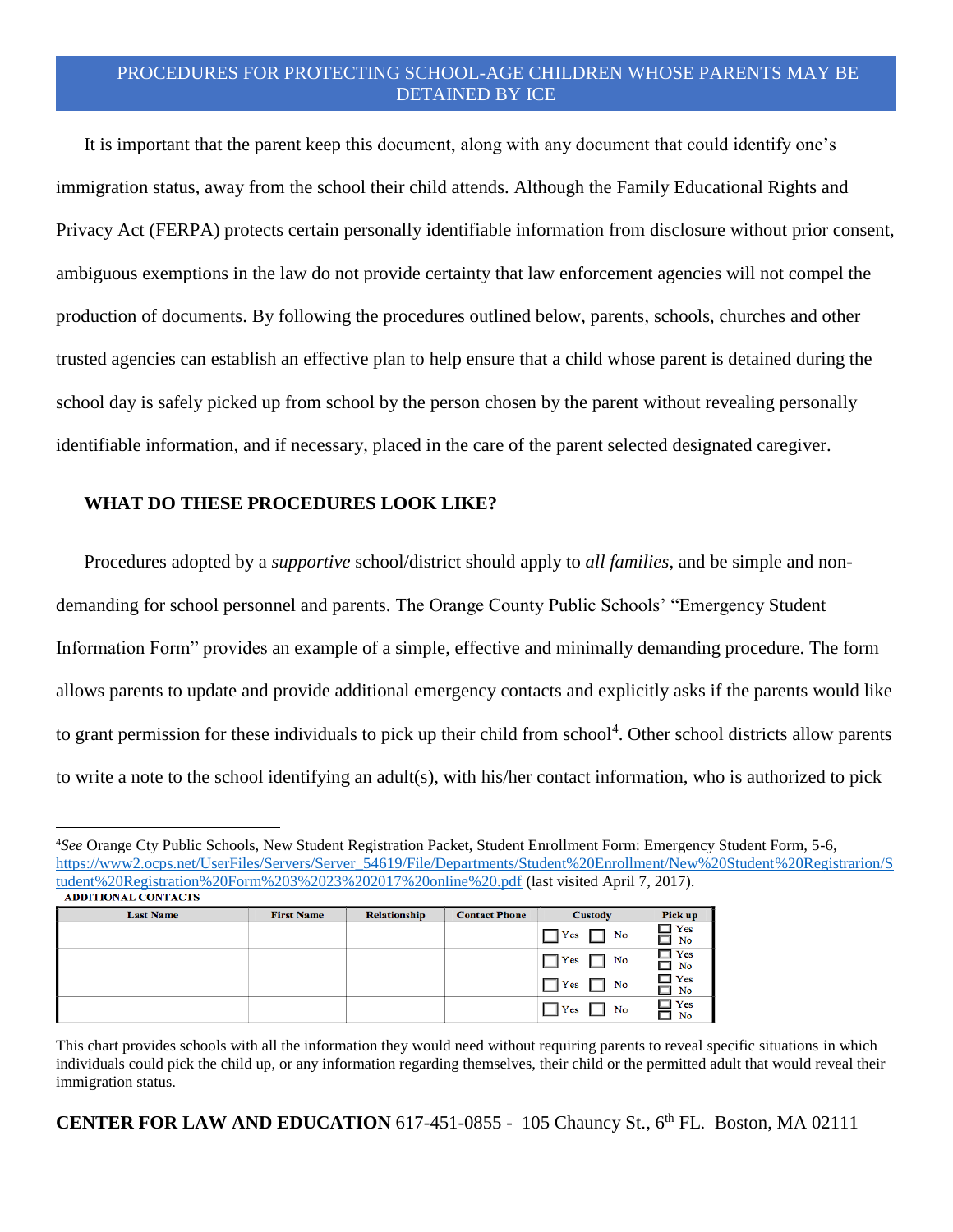## PROCEDURES FOR PROTECTING SCHOOL-AGE CHILDREN WHOSE PARENTS MAY BE DETAINED BY ICE

It is important that the parent keep this document, along with any document that could identify one's immigration status, away from the school their child attends. Although the Family Educational Rights and Privacy Act (FERPA) protects certain personally identifiable information from disclosure without prior consent, ambiguous exemptions in the law do not provide certainty that law enforcement agencies will not compel the production of documents. By following the procedures outlined below, parents, schools, churches and other trusted agencies can establish an effective plan to help ensure that a child whose parent is detained during the school day is safely picked up from school by the person chosen by the parent without revealing personally identifiable information, and if necessary, placed in the care of the parent selected designated caregiver.

#### **WHAT DO THESE PROCEDURES LOOK LIKE?**

 $\overline{a}$ 

Procedures adopted by a *supportive* school/district should apply to *all families*, and be simple and nondemanding for school personnel and parents. The Orange County Public Schools' "Emergency Student Information Form" provides an example of a simple, effective and minimally demanding procedure. The form allows parents to update and provide additional emergency contacts and explicitly asks if the parents would like to grant permission for these individuals to pick up their child from school<sup>4</sup>. Other school districts allow parents to write a note to the school identifying an adult(s), with his/her contact information, who is authorized to pick

<sup>4</sup>*See* Orange Cty Public Schools, New Student Registration Packet, Student Enrollment Form: Emergency Student Form, 5-6, [https://www2.ocps.net/UserFiles/Servers/Server\\_54619/File/Departments/Student%20Enrollment/New%20Student%20Registrarion/S](https://www2.ocps.net/UserFiles/Servers/Server_54619/File/Departments/Student%20Enrollment/New%20Student%20Registrarion/Student%20Registration%20Form%203%2023%202017%20online%20.pdf) [tudent%20Registration%20Form%203%2023%202017%20online%20.pdf](https://www2.ocps.net/UserFiles/Servers/Server_54619/File/Departments/Student%20Enrollment/New%20Student%20Registrarion/Student%20Registration%20Form%203%2023%202017%20online%20.pdf) (last visited April 7, 2017).<br>ADDITIONAL CONTACTS

| <b>Last Name</b> | <b>First Name</b> | <b>Relationship</b> | <b>Contact Phone</b> | <b>Custody</b>       | Pick up                 |
|------------------|-------------------|---------------------|----------------------|----------------------|-------------------------|
|                  |                   |                     |                      | $\Box$ Yes $\Box$ No | $\Box$ Yes<br>$\Box$ No |
|                  |                   |                     |                      | $\Box$ Yes $\Box$ No | $\Box$ Yes<br>$\Box$ No |
|                  |                   |                     |                      | $\Box$ Yes $\Box$ No | $\Box$ Yes<br>$\Box$ No |
|                  |                   |                     |                      | $\Box$ Yes<br>No     | $\Box$ Yes<br>$\Box$ No |

This chart provides schools with all the information they would need without requiring parents to reveal specific situations in which individuals could pick the child up, or any information regarding themselves, their child or the permitted adult that would reveal their immigration status.

**CENTER FOR LAW AND EDUCATION** 617-451-0855 - 105 Chauncy St., 6th FL. Boston, MA 02111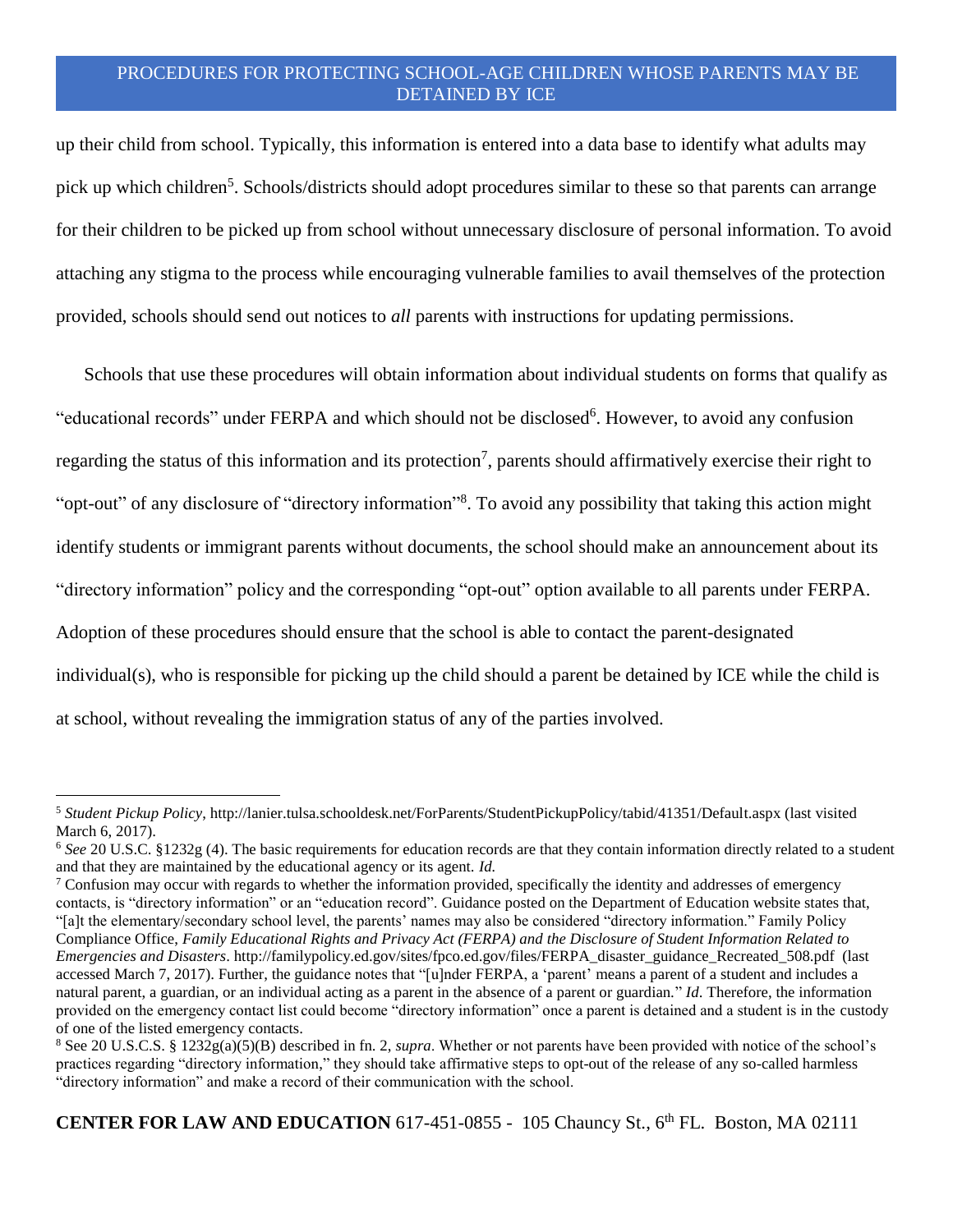# PROCEDURES FOR PROTECTING SCHOOL-AGE CHILDREN WHOSE PARENTS MAY BE DETAINED BY ICE

up their child from school. Typically, this information is entered into a data base to identify what adults may pick up which children<sup>5</sup>. Schools/districts should adopt procedures similar to these so that parents can arrange for their children to be picked up from school without unnecessary disclosure of personal information. To avoid attaching any stigma to the process while encouraging vulnerable families to avail themselves of the protection provided, schools should send out notices to *all* parents with instructions for updating permissions.

Schools that use these procedures will obtain information about individual students on forms that qualify as "educational records" under FERPA and which should not be disclosed<sup>6</sup>. However, to avoid any confusion regarding the status of this information and its protection<sup>7</sup>, parents should affirmatively exercise their right to "opt-out" of any disclosure of "directory information"<sup>8</sup>. To avoid any possibility that taking this action might identify students or immigrant parents without documents, the school should make an announcement about its "directory information" policy and the corresponding "opt-out" option available to all parents under FERPA. Adoption of these procedures should ensure that the school is able to contact the parent-designated individual(s), who is responsible for picking up the child should a parent be detained by ICE while the child is at school, without revealing the immigration status of any of the parties involved.

 $\overline{a}$ 

**CENTER FOR LAW AND EDUCATION** 617-451-0855 - 105 Chauncy St., 6<sup>th</sup> FL. Boston, MA 02111

<sup>5</sup> *Student Pickup Policy*, http://lanier.tulsa.schooldesk.net/ForParents/StudentPickupPolicy/tabid/41351/Default.aspx (last visited March 6, 2017).

<sup>6</sup> *See* 20 U.S.C. §1232g (4). The basic requirements for education records are that they contain information directly related to a student and that they are maintained by the educational agency or its agent. *Id.*

<sup>&</sup>lt;sup>7</sup> Confusion may occur with regards to whether the information provided, specifically the identity and addresses of emergency contacts, is "directory information" or an "education record". Guidance posted on the Department of Education website states that, "[a]t the elementary/secondary school level, the parents' names may also be considered "directory information." Family Policy Compliance Office, *Family Educational Rights and Privacy Act (FERPA) and the Disclosure of Student Information Related to Emergencies and Disasters*. http://familypolicy.ed.gov/sites/fpco.ed.gov/files/FERPA\_disaster\_guidance\_Recreated\_508.pdf (last accessed March 7, 2017). Further, the guidance notes that "[u]nder FERPA, a 'parent' means a parent of a student and includes a natural parent, a guardian, or an individual acting as a parent in the absence of a parent or guardian." *Id*. Therefore, the information provided on the emergency contact list could become "directory information" once a parent is detained and a student is in the custody of one of the listed emergency contacts.

<sup>8</sup> See 20 U.S.C.S. § 1232g(a)(5)(B) described in fn. 2, *supra*. Whether or not parents have been provided with notice of the school's practices regarding "directory information," they should take affirmative steps to opt-out of the release of any so-called harmless "directory information" and make a record of their communication with the school.